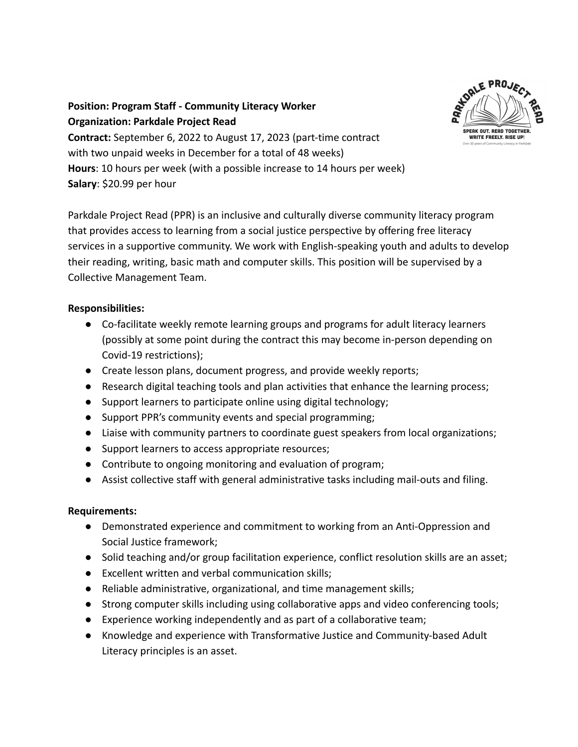

**Position: Program Staff - Community Literacy Worker Organization: Parkdale Project Read Contract:** September 6, 2022 to August 17, 2023 (part-time contract with two unpaid weeks in December for a total of 48 weeks) **Hours**: 10 hours per week (with a possible increase to 14 hours per week) **Salary**: \$20.99 per hour

Parkdale Project Read (PPR) is an inclusive and culturally diverse community literacy program that provides access to learning from a social justice perspective by offering free literacy services in a supportive community. We work with English-speaking youth and adults to develop their reading, writing, basic math and computer skills. This position will be supervised by a Collective Management Team.

## **Responsibilities:**

- Co-facilitate weekly remote learning groups and programs for adult literacy learners (possibly at some point during the contract this may become in-person depending on Covid-19 restrictions);
- Create lesson plans, document progress, and provide weekly reports;
- Research digital teaching tools and plan activities that enhance the learning process;
- Support learners to participate online using digital technology;
- Support PPR's community events and special programming;
- Liaise with community partners to coordinate guest speakers from local organizations;
- Support learners to access appropriate resources;
- Contribute to ongoing monitoring and evaluation of program;
- Assist collective staff with general administrative tasks including mail-outs and filing.

## **Requirements:**

- Demonstrated experience and commitment to working from an Anti-Oppression and Social Justice framework;
- Solid teaching and/or group facilitation experience, conflict resolution skills are an asset;
- Excellent written and verbal communication skills;
- Reliable administrative, organizational, and time management skills;
- Strong computer skills including using collaborative apps and video conferencing tools;
- Experience working independently and as part of a collaborative team;
- Knowledge and experience with Transformative Justice and Community-based Adult Literacy principles is an asset.